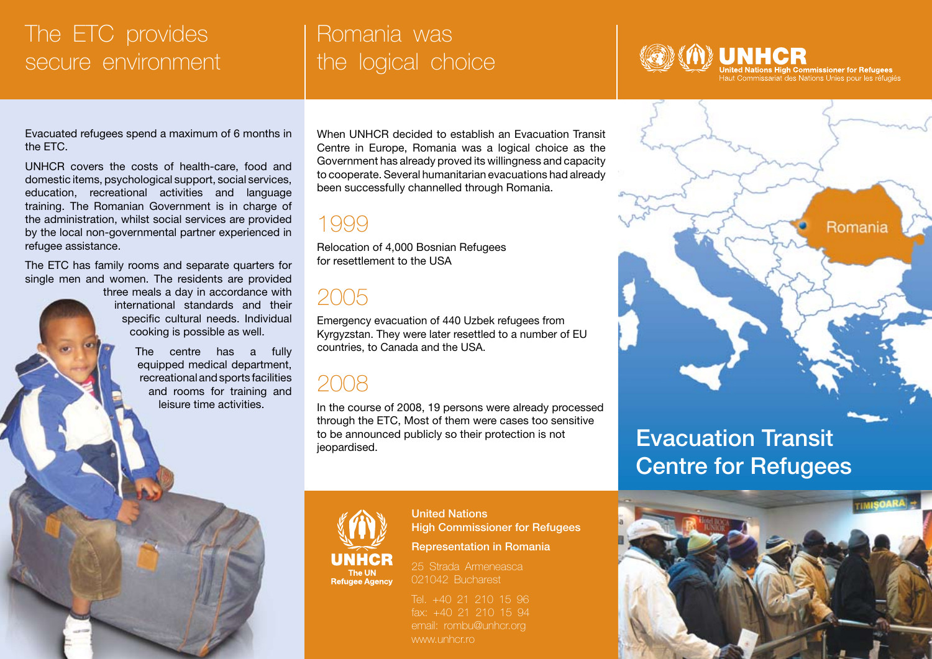#### The ETC provides secure environment

#### Romania was the logical choice

Evacuated refugees spend a maximum of 6 months in the ETC.

UNHCR covers the costs of health-care, food and domestic items, psychological support, social services, education, recreational activities and language training. The Romanian Government is in charge of the administration, whilst social services are provided by the local non-governmental partner experienced in refugee assistance.

The ETC has family rooms and separate quarters for single men and women. The residents are provided

> three meals a day in accordance with international standards and their specific cultural needs. Individual cooking is possible as well.

> > The centre has a fully equipped medical department, recreational and sports facilities and rooms for training and leisure time activities.

When UNHCR decided to establish an Evacuation Transit Centre in Europe, Romania was a logical choice as the Government has already proved its willingness and capacity to cooperate. Several humanitarian evacuations had already been successfully channelled through Romania.

1999

Relocation of 4,000 Bosnian Refugees for resettlement to the USA

#### 2005

Emergency evacuation of 440 Uzbek refugees from Kyrgyzstan. They were later resettled to a number of EU countries, to Canada and the USA.

#### 2008

In the course of 2008, 19 persons were already processed through the ETC, Most of them were cases too sensitive to be announced publicly so their protection is not to be announced publicly so their protection is not<br> **Evacuation Transit**<br> **Evacuation Transit** 

## United Nations

High Commissioner for Refugees

25 Strada Armeneasca 021042 Bucharest

Tel. +40 21 210 15 96 email: rombu@unhcr.org www.unhcr.ro

United Nations High Commissioner for Refugees<br>Haut Commissariat des Nations Unies pour les réfugiés

Romania

# Centre for Refugees